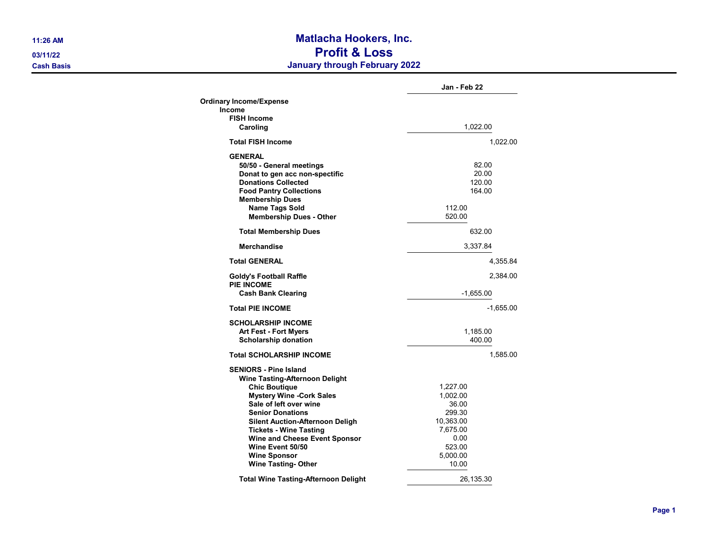## 11:26 AM Matlacha Hookers, Inc. 03/11/22 Profit & Loss **Cash Basis** Cash Basis **Cash Basis** Cash Basis **January through February 2022**

|                                                                                                                                                                                                                                                                                                                                       | Jan - Feb 22                                                                                   |
|---------------------------------------------------------------------------------------------------------------------------------------------------------------------------------------------------------------------------------------------------------------------------------------------------------------------------------------|------------------------------------------------------------------------------------------------|
| <b>Ordinary Income/Expense</b>                                                                                                                                                                                                                                                                                                        |                                                                                                |
| <b>Income</b><br><b>FISH Income</b>                                                                                                                                                                                                                                                                                                   |                                                                                                |
| Caroling                                                                                                                                                                                                                                                                                                                              | 1,022.00                                                                                       |
| <b>Total FISH Income</b>                                                                                                                                                                                                                                                                                                              | 1,022.00                                                                                       |
| <b>GENERAL</b><br>50/50 - General meetings<br>Donat to gen acc non-spectific<br><b>Donations Collected</b><br><b>Food Pantry Collections</b><br><b>Membership Dues</b><br><b>Name Tags Sold</b><br><b>Membership Dues - Other</b>                                                                                                     | 82.00<br>20.00<br>120.00<br>164.00<br>112.00<br>520.00                                         |
| <b>Total Membership Dues</b>                                                                                                                                                                                                                                                                                                          | 632.00                                                                                         |
| <b>Merchandise</b>                                                                                                                                                                                                                                                                                                                    | 3,337.84                                                                                       |
| <b>Total GENERAL</b>                                                                                                                                                                                                                                                                                                                  | 4,355.84                                                                                       |
| <b>Goldy's Football Raffle</b>                                                                                                                                                                                                                                                                                                        | 2,384.00                                                                                       |
| <b>PIE INCOME</b><br><b>Cash Bank Clearing</b>                                                                                                                                                                                                                                                                                        | $-1,655.00$                                                                                    |
| <b>Total PIE INCOME</b>                                                                                                                                                                                                                                                                                                               | $-1,655.00$                                                                                    |
| <b>SCHOLARSHIP INCOME</b><br><b>Art Fest - Fort Myers</b><br><b>Scholarship donation</b>                                                                                                                                                                                                                                              | 1,185.00<br>400.00                                                                             |
| <b>Total SCHOLARSHIP INCOME</b>                                                                                                                                                                                                                                                                                                       | 1,585.00                                                                                       |
| <b>SENIORS - Pine Island</b><br>Wine Tasting-Afternoon Delight<br><b>Chic Boutique</b><br><b>Mystery Wine -Cork Sales</b><br>Sale of left over wine<br><b>Senior Donations</b><br><b>Silent Auction-Afternoon Deligh</b><br><b>Tickets - Wine Tasting</b><br>Wine and Cheese Event Sponsor<br>Wine Event 50/50<br><b>Wine Sponsor</b> | 1,227.00<br>1,002.00<br>36.00<br>299.30<br>10,363.00<br>7,675.00<br>0.00<br>523.00<br>5,000.00 |
| <b>Wine Tasting-Other</b>                                                                                                                                                                                                                                                                                                             | 10.00                                                                                          |
| <b>Total Wine Tasting-Afternoon Delight</b>                                                                                                                                                                                                                                                                                           | 26,135.30                                                                                      |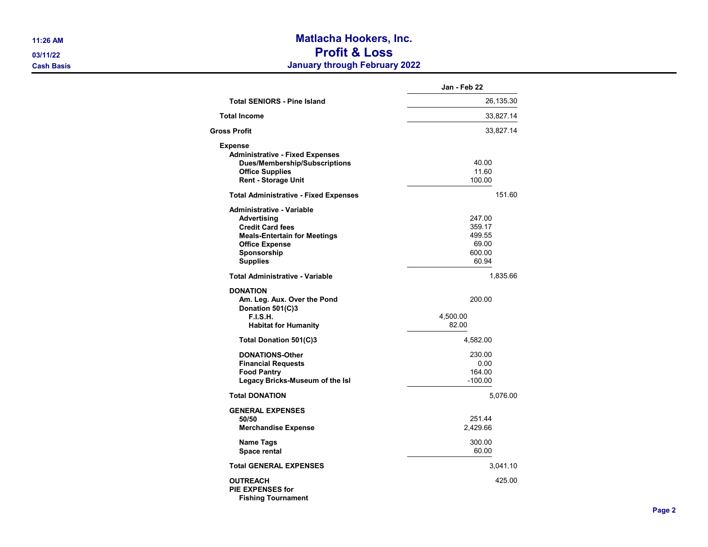## 11:26 AM **Matlacha Hookers, Inc.** 03/11/22 Profit & Loss **Cash Basis** Cash Basis **Cash Basis** Cash Basis **Cash Basis** Cash Basis **January through February 2022**

|                                                                                                                                                                       | Jan - Feb 22                                           |
|-----------------------------------------------------------------------------------------------------------------------------------------------------------------------|--------------------------------------------------------|
| <b>Total SENIORS - Pine Island</b>                                                                                                                                    | 26,135.30                                              |
| <b>Total Income</b>                                                                                                                                                   | 33,827.14                                              |
| Gross Profit                                                                                                                                                          | 33,827.14                                              |
| <b>Expense</b><br><b>Administrative - Fixed Expenses</b><br><b>Dues/Membership/Subscriptions</b><br><b>Office Supplies</b><br><b>Rent - Storage Unit</b>              | 40.00<br>11.60<br>100.00                               |
| <b>Total Administrative - Fixed Expenses</b>                                                                                                                          | 151.60                                                 |
| Administrative - Variable<br>Advertising<br><b>Credit Card fees</b><br><b>Meals-Entertain for Meetings</b><br><b>Office Expense</b><br>Sponsorship<br><b>Supplies</b> | 247.00<br>359.17<br>499.55<br>69.00<br>600.00<br>60.94 |
| <b>Total Administrative - Variable</b>                                                                                                                                | 1,835.66                                               |
| <b>DONATION</b><br>Am. Leg. Aux. Over the Pond<br>Donation 501(C)3<br><b>F.I.S.H.</b><br><b>Habitat for Humanity</b>                                                  | 200.00<br>4,500.00<br>82.00                            |
| Total Donation 501(C)3                                                                                                                                                | 4,582.00                                               |
| <b>DONATIONS-Other</b><br><b>Financial Requests</b><br><b>Food Pantry</b><br>Legacy Bricks-Museum of the Isl                                                          | 230.00<br>0.00<br>164.00<br>$-100.00$                  |
| <b>Total DONATION</b>                                                                                                                                                 | 5,076.00                                               |
| <b>GENERAL EXPENSES</b><br>50/50<br><b>Merchandise Expense</b>                                                                                                        | 251.44<br>2,429.66                                     |
| Name Tags<br>Space rental                                                                                                                                             | 300.00<br>60.00                                        |
| <b>Total GENERAL EXPENSES</b>                                                                                                                                         | 3,041.10                                               |
| <b>OUTREACH</b><br><b>PIE EXPENSES for</b><br><b>Fishing Tournament</b>                                                                                               | 425.00                                                 |